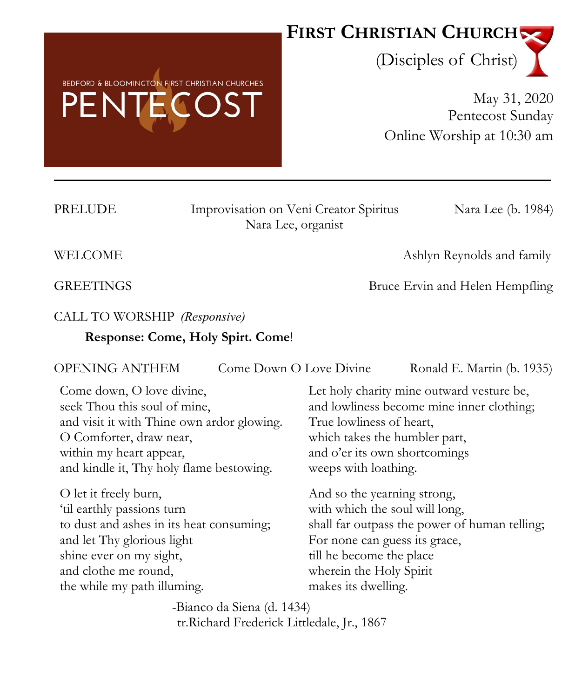# **FIRST CHRISTIAN CHURCH**

(Disciples of Christ)

May 31, 2020 Pentecost Sunday Online Worship at 10:30 am

PRELUDE Improvisation on Veni Creator Spiritus Nara Lee (b. 1984) Nara Lee, organist

WELCOME Ashlyn Reynolds and family

GREETINGS Bruce Ervin and Helen Hempfling

#### CALL TO WORSHIP *(Responsive)*

BEDFORD & BLOOMINGTON FIRST CHRISTIAN CHURCHES

## **Response: Come, Holy Spirt. Come**!

OPENING ANTHEM Come Down O Love Divine Ronald E. Martin (b. 1935)

Come down, O love divine, seek Thou this soul of mine, and visit it with Thine own ardor glowing. O Comforter, draw near, within my heart appear, and kindle it, Thy holy flame bestowing.

O let it freely burn, 'til earthly passions turn to dust and ashes in its heat consuming; and let Thy glorious light shine ever on my sight, and clothe me round, the while my path illuming.

Let holy charity mine outward vesture be, and lowliness become mine inner clothing; True lowliness of heart, which takes the humbler part, and o'er its own shortcomings weeps with loathing.

And so the yearning strong, with which the soul will long, shall far outpass the power of human telling; For none can guess its grace, till he become the place wherein the Holy Spirit makes its dwelling.

-Bianco da Siena (d. 1434) tr.Richard Frederick Littledale, Jr., 1867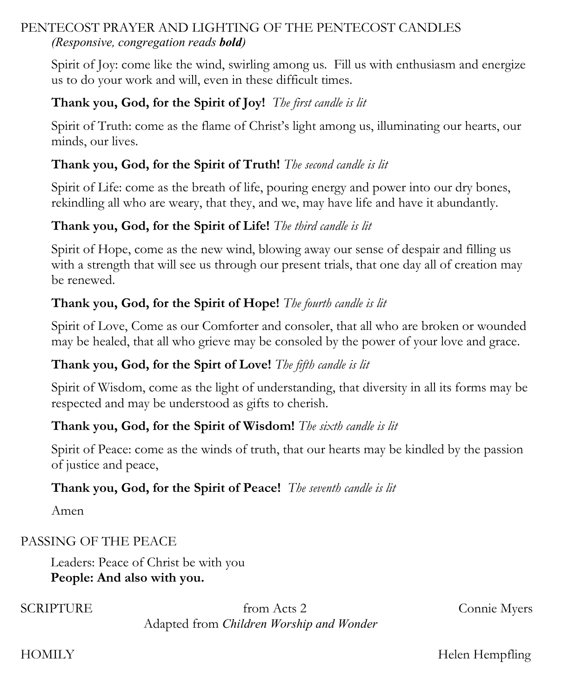## PENTECOST PRAYER AND LIGHTING OF THE PENTECOST CANDLES *(Responsive, congregation reads bold)*

Spirit of Joy: come like the wind, swirling among us. Fill us with enthusiasm and energize us to do your work and will, even in these difficult times.

## **Thank you, God, for the Spirit of Joy!** *The first candle is lit*

Spirit of Truth: come as the flame of Christ's light among us, illuminating our hearts, our minds, our lives.

## **Thank you, God, for the Spirit of Truth!** *The second candle is lit*

Spirit of Life: come as the breath of life, pouring energy and power into our dry bones, rekindling all who are weary, that they, and we, may have life and have it abundantly.

## **Thank you, God, for the Spirit of Life!** *The third candle is lit*

Spirit of Hope, come as the new wind, blowing away our sense of despair and filling us with a strength that will see us through our present trials, that one day all of creation may be renewed.

## **Thank you, God, for the Spirit of Hope!** *The fourth candle is lit*

Spirit of Love, Come as our Comforter and consoler, that all who are broken or wounded may be healed, that all who grieve may be consoled by the power of your love and grace.

## **Thank you, God, for the Spirt of Love!** *The fifth candle is lit*

Spirit of Wisdom, come as the light of understanding, that diversity in all its forms may be respected and may be understood as gifts to cherish.

#### **Thank you, God, for the Spirit of Wisdom!** *The sixth candle is lit*

Spirit of Peace: come as the winds of truth, that our hearts may be kindled by the passion of justice and peace,

#### **Thank you, God, for the Spirit of Peace!** *The seventh candle is lit*

Amen

#### PASSING OF THE PEACE

Leaders: Peace of Christ be with you **People: And also with you.** 

SCRIPTURE from Acts 2 Connie Myers Adapted from *Children Worship and Wonder*

HOMILY Helen Hempfling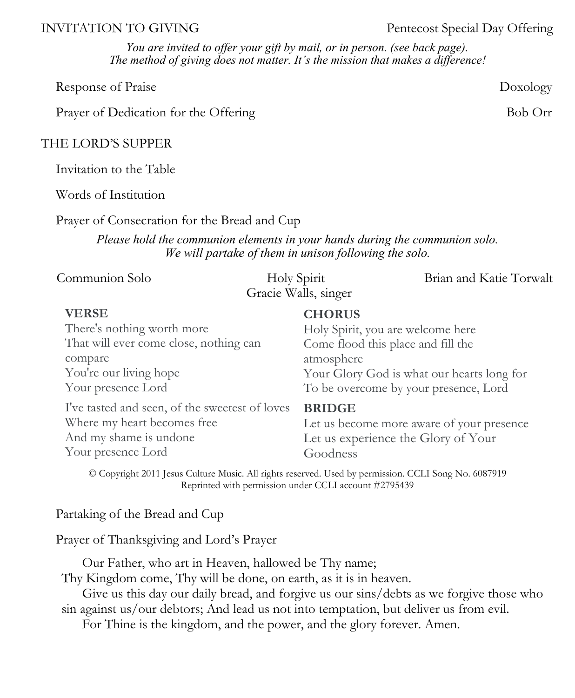INVITATION TO GIVING Pentecost Special Day Offering

*You are invited to offer your gift by mail, or in person. (see back page). The method of giving does not matter. It's the mission that makes a difference!*

Response of Praise Doxology

Prayer of Dedication for the Offering Bob Orr

#### THE LORD'S SUPPER

Invitation to the Table

Words of Institution

#### Prayer of Consecration for the Bread and Cup

*Please hold the communion elements in your hands during the communion solo. We will partake of them in unison following the solo.*

Communion Solo Holy Spirit Brian and Katie Torwalt

Gracie Walls, singer

#### **VERSE**

There's nothing worth more That will ever come close, nothing can compare You're our living hope Your presence Lord I've tasted and seen, of the sweetest of loves Where my heart becomes free And my shame is undone Your presence Lord **CHORUS** Holy Spirit, you are welcome here Come flood this place and fill the atmosphere Your Glory God is what our hearts long for To be overcome by your presence, Lord **BRIDGE** Let us become more aware of your presence Let us experience the Glory of Your Goodness

© Copyright 2011 Jesus Culture Music. All rights reserved. Used by permission. CCLI Song No. 6087919 Reprinted with permission under CCLI account #2795439

#### Partaking of the Bread and Cup

#### Prayer of Thanksgiving and Lord's Prayer

Our Father, who art in Heaven, hallowed be Thy name;

Thy Kingdom come, Thy will be done, on earth, as it is in heaven.

Give us this day our daily bread, and forgive us our sins/debts as we forgive those who sin against us/our debtors; And lead us not into temptation, but deliver us from evil.

For Thine is the kingdom, and the power, and the glory forever. Amen.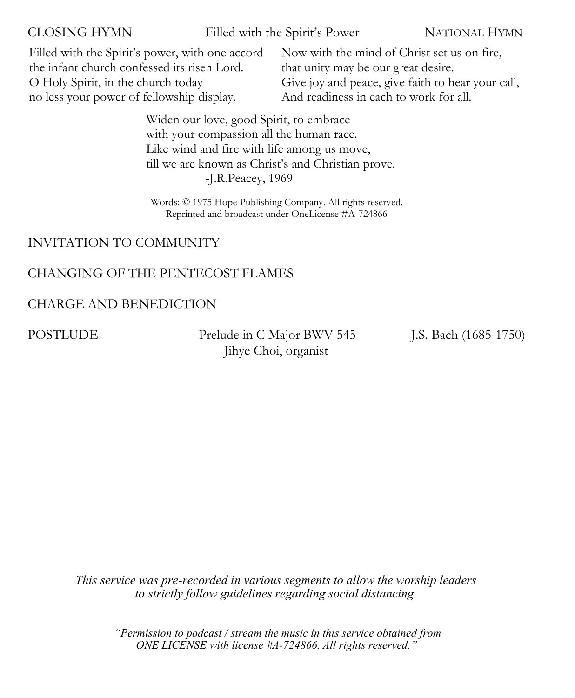CLOSING HYMN Filled with the Spirit's Power NATIONAL HYMN

Filled with the Spirit's power, with one accord the infant church confessed its risen Lord. O Holy Spirit, in the church today no less your power of fellowship display.

Now with the mind of Christ set us on fire, that unity may be our great desire. Give joy and peace, give faith to hear your call, And readiness in each to work for all.

Widen our love, good Spirit, to embrace with your compassion all the human race. Like wind and fire with life among us move, till we are known as Christ's and Christian prove. -J.R.Peacey, 1969

Words: © 1975 Hope Publishing Company. All rights reserved. Reprinted and broadcast under OneLicense #A-724866

## INVITATION TO COMMUNITY

## CHANGING OF THE PENTECOST FLAMES

## CHARGE AND BENEDICTION

POSTLUDE Prelude in C Major BWV 545 J.S. Bach (1685-1750) Jihye Choi, organist

*This service was pre-recorded in various segments to allow the worship leaders to strictly follow guidelines regarding social distancing.* 

> *"Permission to podcast / stream the music in this service obtained from ONE LICENSE with license #A-724866. All rights reserved."*